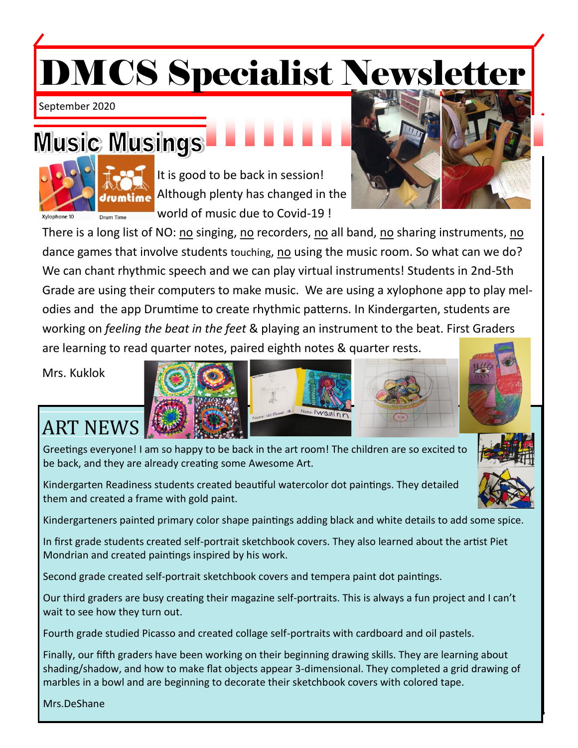# DMCS Specialist Newsletter

September 2020

## Music Musings



It is good to be back in session! Although plenty has changed in the world of music due to Covid-19 !

There is a long list of NO: no singing, no recorders, no all band, no sharing instruments, no dance games that involve students touching, no using the music room. So what can we do? We can chant rhythmic speech and we can play virtual instruments! Students in 2nd-5th Grade are using their computers to make music. We are using a xylophone app to play melodies and the app Drumtime to create rhythmic patterns. In Kindergarten, students are working on *feeling the beat in the feet* & playing an instrument to the beat. First Graders are learning to read quarter notes, paired eighth notes & quarter rests.

Mrs. Kuklok

### ART NEWS

Greetings everyone! I am so happy to be back in the art room! The children are so excited to be back, and they are already creating some Awesome Art.

Kindergarten Readiness students created beautiful watercolor dot paintings. They detailed them and created a frame with gold paint.

Kindergarteners painted primary color shape paintings adding black and white details to add some spice.

In first grade students created self-portrait sketchbook covers. They also learned about the artist Piet Mondrian and created paintings inspired by his work.

Second grade created self-portrait sketchbook covers and tempera paint dot paintings.

Our third graders are busy creating their magazine self-portraits. This is always a fun project and I can't wait to see how they turn out.

Fourth grade studied Picasso and created collage self-portraits with cardboard and oil pastels.

Finally, our fifth graders have been working on their beginning drawing skills. They are learning about shading/shadow, and how to make flat objects appear 3-dimensional. They completed a grid drawing of marbles in a bowl and are beginning to decorate their sketchbook covers with colored tape.

Mrs.DeShane